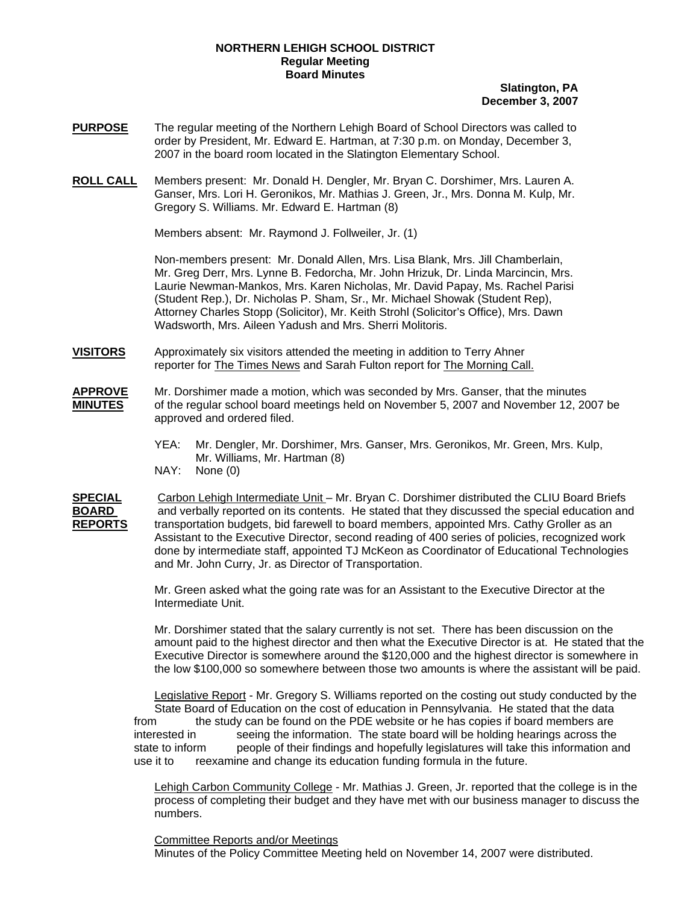## **NORTHERN LEHIGH SCHOOL DISTRICT Regular Meeting Board Minutes**

## **Slatington, PA December 3, 2007**

- **PURPOSE** The regular meeting of the Northern Lehigh Board of School Directors was called to order by President, Mr. Edward E. Hartman, at 7:30 p.m. on Monday, December 3, 2007 in the board room located in the Slatington Elementary School.
- **ROLL CALL** Members present: Mr. Donald H. Dengler, Mr. Bryan C. Dorshimer, Mrs. Lauren A. Ganser, Mrs. Lori H. Geronikos, Mr. Mathias J. Green, Jr., Mrs. Donna M. Kulp, Mr. Gregory S. Williams. Mr. Edward E. Hartman (8)

Members absent: Mr. Raymond J. Follweiler, Jr. (1)

Non-members present: Mr. Donald Allen, Mrs. Lisa Blank, Mrs. Jill Chamberlain, Mr. Greg Derr, Mrs. Lynne B. Fedorcha, Mr. John Hrizuk, Dr. Linda Marcincin, Mrs. Laurie Newman-Mankos, Mrs. Karen Nicholas, Mr. David Papay, Ms. Rachel Parisi (Student Rep.), Dr. Nicholas P. Sham, Sr., Mr. Michael Showak (Student Rep), Attorney Charles Stopp (Solicitor), Mr. Keith Strohl (Solicitor's Office), Mrs. Dawn Wadsworth, Mrs. Aileen Yadush and Mrs. Sherri Molitoris.

- **VISITORS** Approximately six visitors attended the meeting in addition to Terry Ahner reporter for The Times News and Sarah Fulton report for The Morning Call.
- **APPROVE** Mr. Dorshimer made a motion, which was seconded by Mrs. Ganser, that the minutes **MINUTES** of the regular school board meetings held on November 5, 2007 and November 12, 2007 be approved and ordered filed.
	- YEA: Mr. Dengler, Mr. Dorshimer, Mrs. Ganser, Mrs. Geronikos, Mr. Green, Mrs. Kulp, Mr. Williams, Mr. Hartman (8)
	- NAY: None (0)

**SPECIAL** Carbon Lehigh Intermediate Unit – Mr. Bryan C. Dorshimer distributed the CLIU Board Briefs **BOARD** and verbally reported on its contents. He stated that they discussed the special education and **REPORTS** transportation budgets, bid farewell to board members, appointed Mrs. Cathy Groller as an Assistant to the Executive Director, second reading of 400 series of policies, recognized work done by intermediate staff, appointed TJ McKeon as Coordinator of Educational Technologies and Mr. John Curry, Jr. as Director of Transportation.

> Mr. Green asked what the going rate was for an Assistant to the Executive Director at the Intermediate Unit.

Mr. Dorshimer stated that the salary currently is not set. There has been discussion on the amount paid to the highest director and then what the Executive Director is at. He stated that the Executive Director is somewhere around the \$120,000 and the highest director is somewhere in the low \$100,000 so somewhere between those two amounts is where the assistant will be paid.

Legislative Report - Mr. Gregory S. Williams reported on the costing out study conducted by the State Board of Education on the cost of education in Pennsylvania. He stated that the data from the study can be found on the PDE website or he has copies if board members are interested in seeing the information. The state board will be holding hearings across the state to inform people of their findings and hopefully legislatures will take this information and use it to reexamine and change its education funding formula in the future.

Lehigh Carbon Community College - Mr. Mathias J. Green, Jr. reported that the college is in the process of completing their budget and they have met with our business manager to discuss the numbers.

Committee Reports and/or Meetings Minutes of the Policy Committee Meeting held on November 14, 2007 were distributed.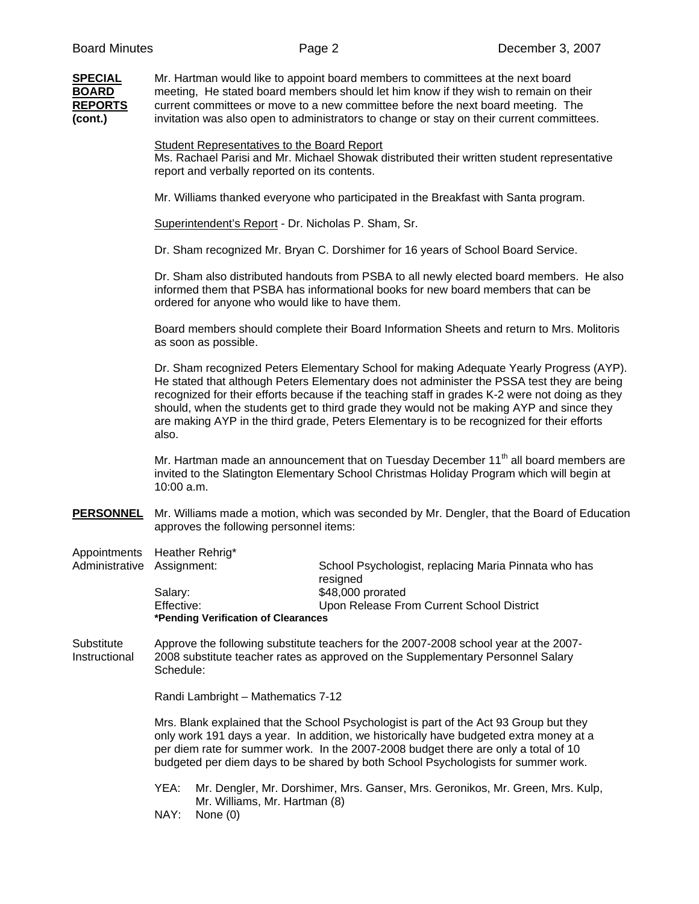| <b>Board Minutes</b>                                        |                                                                                                                                                                                                                                                                                                                                                          | Page 2                                                                                                                                                                                                                                                                                                                                                                                                                                                                             | December 3, 2007 |
|-------------------------------------------------------------|----------------------------------------------------------------------------------------------------------------------------------------------------------------------------------------------------------------------------------------------------------------------------------------------------------------------------------------------------------|------------------------------------------------------------------------------------------------------------------------------------------------------------------------------------------------------------------------------------------------------------------------------------------------------------------------------------------------------------------------------------------------------------------------------------------------------------------------------------|------------------|
| <b>SPECIAL</b><br><b>BOARD</b><br><b>REPORTS</b><br>(cont.) | Mr. Hartman would like to appoint board members to committees at the next board<br>meeting, He stated board members should let him know if they wish to remain on their<br>current committees or move to a new committee before the next board meeting. The<br>invitation was also open to administrators to change or stay on their current committees. |                                                                                                                                                                                                                                                                                                                                                                                                                                                                                    |                  |
|                                                             | <b>Student Representatives to the Board Report</b><br>Ms. Rachael Parisi and Mr. Michael Showak distributed their written student representative<br>report and verbally reported on its contents.                                                                                                                                                        |                                                                                                                                                                                                                                                                                                                                                                                                                                                                                    |                  |
|                                                             |                                                                                                                                                                                                                                                                                                                                                          | Mr. Williams thanked everyone who participated in the Breakfast with Santa program.                                                                                                                                                                                                                                                                                                                                                                                                |                  |
|                                                             | Superintendent's Report - Dr. Nicholas P. Sham, Sr.                                                                                                                                                                                                                                                                                                      |                                                                                                                                                                                                                                                                                                                                                                                                                                                                                    |                  |
|                                                             |                                                                                                                                                                                                                                                                                                                                                          | Dr. Sham recognized Mr. Bryan C. Dorshimer for 16 years of School Board Service.                                                                                                                                                                                                                                                                                                                                                                                                   |                  |
|                                                             | Dr. Sham also distributed handouts from PSBA to all newly elected board members. He also<br>informed them that PSBA has informational books for new board members that can be<br>ordered for anyone who would like to have them.                                                                                                                         |                                                                                                                                                                                                                                                                                                                                                                                                                                                                                    |                  |
|                                                             | Board members should complete their Board Information Sheets and return to Mrs. Molitoris<br>as soon as possible.                                                                                                                                                                                                                                        |                                                                                                                                                                                                                                                                                                                                                                                                                                                                                    |                  |
|                                                             | also.                                                                                                                                                                                                                                                                                                                                                    | Dr. Sham recognized Peters Elementary School for making Adequate Yearly Progress (AYP).<br>He stated that although Peters Elementary does not administer the PSSA test they are being<br>recognized for their efforts because if the teaching staff in grades K-2 were not doing as they<br>should, when the students get to third grade they would not be making AYP and since they<br>are making AYP in the third grade, Peters Elementary is to be recognized for their efforts |                  |
|                                                             | 10:00 a.m.                                                                                                                                                                                                                                                                                                                                               | Mr. Hartman made an announcement that on Tuesday December 11 <sup>th</sup> all board members are<br>invited to the Slatington Elementary School Christmas Holiday Program which will begin at                                                                                                                                                                                                                                                                                      |                  |
| <b>PERSONNEL</b>                                            | Mr. Williams made a motion, which was seconded by Mr. Dengler, that the Board of Education<br>approves the following personnel items:                                                                                                                                                                                                                    |                                                                                                                                                                                                                                                                                                                                                                                                                                                                                    |                  |
| Appointments<br>Administrative Assignment:                  | Heather Rehrig*                                                                                                                                                                                                                                                                                                                                          | School Psychologist, replacing Maria Pinnata who has<br>resigned                                                                                                                                                                                                                                                                                                                                                                                                                   |                  |

Salary: \$48,000 prorated Effective: Upon Release From Current School District **\*Pending Verification of Clearances** 

Substitute Approve the following substitute teachers for the 2007-2008 school year at the 2007- Instructional 2008 substitute teacher rates as approved on the Supplementary Personnel Salary Schedule:

Randi Lambright – Mathematics 7-12

Mrs. Blank explained that the School Psychologist is part of the Act 93 Group but they only work 191 days a year. In addition, we historically have budgeted extra money at a per diem rate for summer work. In the 2007-2008 budget there are only a total of 10 budgeted per diem days to be shared by both School Psychologists for summer work.

 YEA: Mr. Dengler, Mr. Dorshimer, Mrs. Ganser, Mrs. Geronikos, Mr. Green, Mrs. Kulp, Mr. Williams, Mr. Hartman (8) NAY: None (0)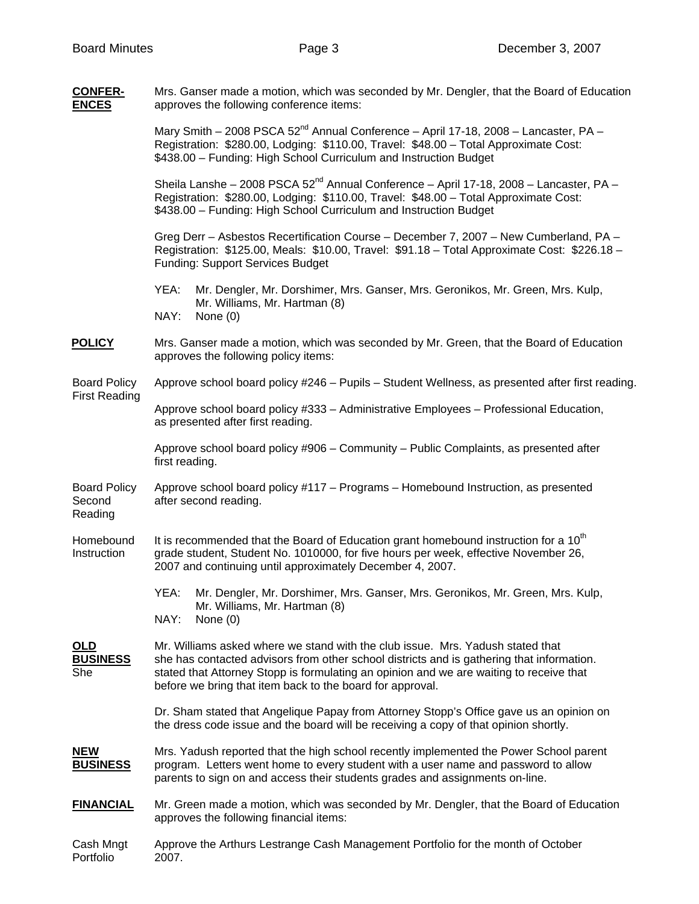| <b>CONFER-</b><br><b>ENCES</b>              | Mrs. Ganser made a motion, which was seconded by Mr. Dengler, that the Board of Education<br>approves the following conference items:                                                                                                                                                                                               |  |  |
|---------------------------------------------|-------------------------------------------------------------------------------------------------------------------------------------------------------------------------------------------------------------------------------------------------------------------------------------------------------------------------------------|--|--|
|                                             | Mary Smith - 2008 PSCA 52 <sup>nd</sup> Annual Conference - April 17-18, 2008 - Lancaster, PA -<br>Registration: \$280.00, Lodging: \$110.00, Travel: \$48.00 - Total Approximate Cost:<br>\$438.00 - Funding: High School Curriculum and Instruction Budget                                                                        |  |  |
|                                             | Sheila Lanshe - 2008 PSCA 52 <sup>nd</sup> Annual Conference - April 17-18, 2008 - Lancaster, PA -<br>Registration: \$280.00, Lodging: \$110.00, Travel: \$48.00 - Total Approximate Cost:<br>\$438.00 - Funding: High School Curriculum and Instruction Budget                                                                     |  |  |
|                                             | Greg Derr - Asbestos Recertification Course - December 7, 2007 - New Cumberland, PA -<br>Registration: \$125.00, Meals: \$10.00, Travel: \$91.18 - Total Approximate Cost: \$226.18 -<br><b>Funding: Support Services Budget</b>                                                                                                    |  |  |
|                                             | YEA:<br>Mr. Dengler, Mr. Dorshimer, Mrs. Ganser, Mrs. Geronikos, Mr. Green, Mrs. Kulp,<br>Mr. Williams, Mr. Hartman (8)<br>NAY:<br>None $(0)$                                                                                                                                                                                       |  |  |
| <b>POLICY</b>                               | Mrs. Ganser made a motion, which was seconded by Mr. Green, that the Board of Education<br>approves the following policy items:                                                                                                                                                                                                     |  |  |
| <b>Board Policy</b><br><b>First Reading</b> | Approve school board policy #246 - Pupils - Student Wellness, as presented after first reading.                                                                                                                                                                                                                                     |  |  |
|                                             | Approve school board policy #333 - Administrative Employees - Professional Education,<br>as presented after first reading.                                                                                                                                                                                                          |  |  |
|                                             | Approve school board policy #906 – Community – Public Complaints, as presented after<br>first reading.                                                                                                                                                                                                                              |  |  |
| <b>Board Policy</b><br>Second<br>Reading    | Approve school board policy #117 - Programs - Homebound Instruction, as presented<br>after second reading.                                                                                                                                                                                                                          |  |  |
| Homebound<br>Instruction                    | It is recommended that the Board of Education grant homebound instruction for a 10 <sup>th</sup><br>grade student, Student No. 1010000, for five hours per week, effective November 26,<br>2007 and continuing until approximately December 4, 2007.                                                                                |  |  |
|                                             | YEA:<br>Mr. Dengler, Mr. Dorshimer, Mrs. Ganser, Mrs. Geronikos, Mr. Green, Mrs. Kulp,<br>Mr. Williams, Mr. Hartman (8)<br>NAY:<br>None $(0)$                                                                                                                                                                                       |  |  |
| $OLD$<br><b>BUSINESS</b><br>She             | Mr. Williams asked where we stand with the club issue. Mrs. Yadush stated that<br>she has contacted advisors from other school districts and is gathering that information.<br>stated that Attorney Stopp is formulating an opinion and we are waiting to receive that<br>before we bring that item back to the board for approval. |  |  |
|                                             | Dr. Sham stated that Angelique Papay from Attorney Stopp's Office gave us an opinion on<br>the dress code issue and the board will be receiving a copy of that opinion shortly.                                                                                                                                                     |  |  |
| <b>NEW</b><br><b>BUSINESS</b>               | Mrs. Yadush reported that the high school recently implemented the Power School parent<br>program. Letters went home to every student with a user name and password to allow<br>parents to sign on and access their students grades and assignments on-line.                                                                        |  |  |
| <b>FINANCIAL</b>                            | Mr. Green made a motion, which was seconded by Mr. Dengler, that the Board of Education<br>approves the following financial items:                                                                                                                                                                                                  |  |  |
| Cash Mngt<br>Portfolio                      | Approve the Arthurs Lestrange Cash Management Portfolio for the month of October<br>2007.                                                                                                                                                                                                                                           |  |  |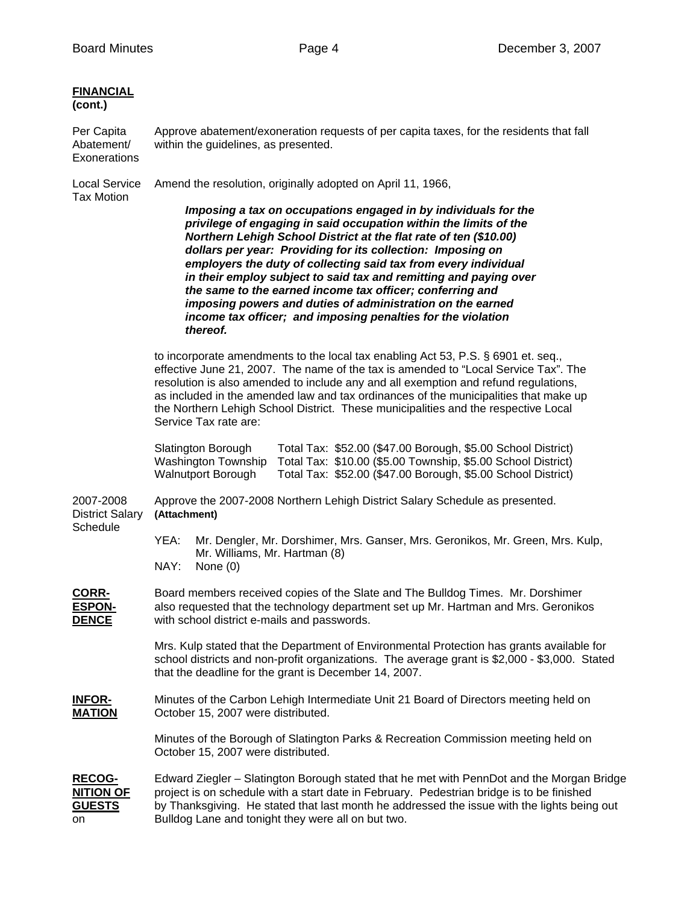| <b>FINANCIAL</b><br>(cont.)                              |                                                                                                                                                                                                                                                                                                                                                                                                                                                                                                                                                                                                                         |  |  |
|----------------------------------------------------------|-------------------------------------------------------------------------------------------------------------------------------------------------------------------------------------------------------------------------------------------------------------------------------------------------------------------------------------------------------------------------------------------------------------------------------------------------------------------------------------------------------------------------------------------------------------------------------------------------------------------------|--|--|
| Per Capita<br>Abatement/<br>Exonerations                 | Approve abatement/exoneration requests of per capita taxes, for the residents that fall<br>within the guidelines, as presented.                                                                                                                                                                                                                                                                                                                                                                                                                                                                                         |  |  |
| <b>Local Service</b><br><b>Tax Motion</b>                | Amend the resolution, originally adopted on April 11, 1966,                                                                                                                                                                                                                                                                                                                                                                                                                                                                                                                                                             |  |  |
|                                                          | Imposing a tax on occupations engaged in by individuals for the<br>privilege of engaging in said occupation within the limits of the<br>Northern Lehigh School District at the flat rate of ten (\$10.00)<br>dollars per year: Providing for its collection: Imposing on<br>employers the duty of collecting said tax from every individual<br>in their employ subject to said tax and remitting and paying over<br>the same to the earned income tax officer; conferring and<br>imposing powers and duties of administration on the earned<br>income tax officer; and imposing penalties for the violation<br>thereof. |  |  |
|                                                          | to incorporate amendments to the local tax enabling Act 53, P.S. § 6901 et. seq.,<br>effective June 21, 2007. The name of the tax is amended to "Local Service Tax". The<br>resolution is also amended to include any and all exemption and refund regulations,<br>as included in the amended law and tax ordinances of the municipalities that make up<br>the Northern Lehigh School District. These municipalities and the respective Local<br>Service Tax rate are:                                                                                                                                                  |  |  |
|                                                          | Total Tax: \$52.00 (\$47.00 Borough, \$5.00 School District)<br>Slatington Borough<br>Washington Township<br>Total Tax: \$10.00 (\$5.00 Township, \$5.00 School District)<br>Total Tax: \$52.00 (\$47.00 Borough, \$5.00 School District)<br><b>Walnutport Borough</b>                                                                                                                                                                                                                                                                                                                                                  |  |  |
| 2007-2008<br><b>District Salary</b><br>Schedule          | Approve the 2007-2008 Northern Lehigh District Salary Schedule as presented.<br>(Attachment)                                                                                                                                                                                                                                                                                                                                                                                                                                                                                                                            |  |  |
|                                                          | YEA:<br>Mr. Dengler, Mr. Dorshimer, Mrs. Ganser, Mrs. Geronikos, Mr. Green, Mrs. Kulp,<br>Mr. Williams, Mr. Hartman (8)<br>NAY:<br>None $(0)$                                                                                                                                                                                                                                                                                                                                                                                                                                                                           |  |  |
| <b>CORR-</b><br><b>ESPON-</b><br><b>DENCE</b>            | Board members received copies of the Slate and The Bulldog Times. Mr. Dorshimer<br>also requested that the technology department set up Mr. Hartman and Mrs. Geronikos<br>with school district e-mails and passwords.                                                                                                                                                                                                                                                                                                                                                                                                   |  |  |
|                                                          | Mrs. Kulp stated that the Department of Environmental Protection has grants available for<br>school districts and non-profit organizations. The average grant is \$2,000 - \$3,000. Stated<br>that the deadline for the grant is December 14, 2007.                                                                                                                                                                                                                                                                                                                                                                     |  |  |
| <b>INFOR-</b><br><b>MATION</b>                           | Minutes of the Carbon Lehigh Intermediate Unit 21 Board of Directors meeting held on<br>October 15, 2007 were distributed.                                                                                                                                                                                                                                                                                                                                                                                                                                                                                              |  |  |
|                                                          | Minutes of the Borough of Slatington Parks & Recreation Commission meeting held on<br>October 15, 2007 were distributed.                                                                                                                                                                                                                                                                                                                                                                                                                                                                                                |  |  |
| <b>RECOG-</b><br><b>NITION OF</b><br><b>GUESTS</b><br>on | Edward Ziegler - Slatington Borough stated that he met with PennDot and the Morgan Bridge<br>project is on schedule with a start date in February. Pedestrian bridge is to be finished<br>by Thanksgiving. He stated that last month he addressed the issue with the lights being out<br>Bulldog Lane and tonight they were all on but two.                                                                                                                                                                                                                                                                             |  |  |